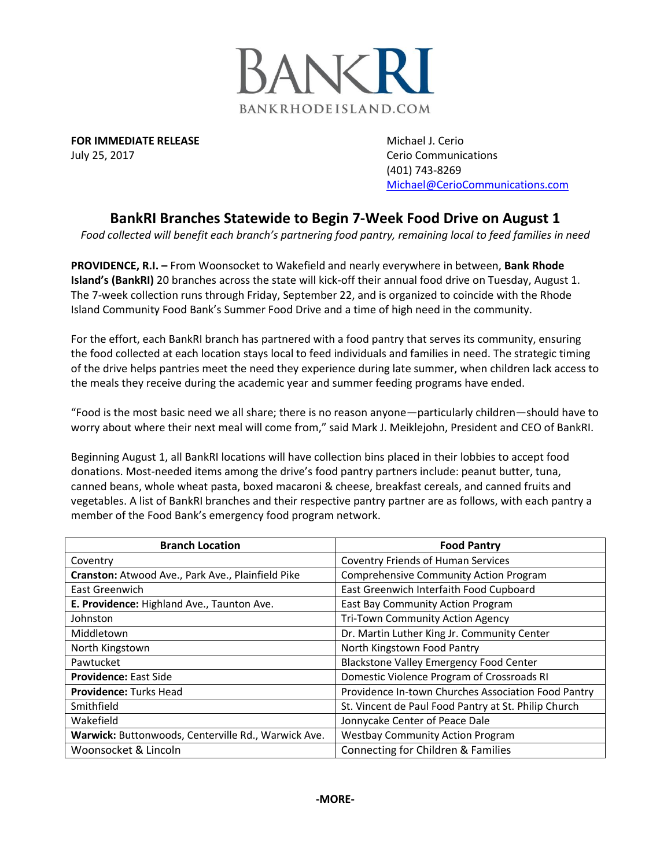

**FOR IMMEDIATE RELEASE Michael J. Cerio** July 25, 2017 **Cerio Communications** 

(401) 743-8269 [Michael@CerioCommunications.com](mailto:Michael@CerioCommunications.com)

## **BankRI Branches Statewide to Begin 7-Week Food Drive on August 1**

*Food collected will benefit each branch's partnering food pantry, remaining local to feed families in need*

**PROVIDENCE, R.I. –** From Woonsocket to Wakefield and nearly everywhere in between, **Bank Rhode Island's (BankRI)** 20 branches across the state will kick-off their annual food drive on Tuesday, August 1. The 7-week collection runs through Friday, September 22, and is organized to coincide with the Rhode Island Community Food Bank's Summer Food Drive and a time of high need in the community.

For the effort, each BankRI branch has partnered with a food pantry that serves its community, ensuring the food collected at each location stays local to feed individuals and families in need. The strategic timing of the drive helps pantries meet the need they experience during late summer, when children lack access to the meals they receive during the academic year and summer feeding programs have ended.

"Food is the most basic need we all share; there is no reason anyone—particularly children—should have to worry about where their next meal will come from," said Mark J. Meiklejohn, President and CEO of BankRI.

Beginning August 1, all BankRI locations will have collection bins placed in their lobbies to accept food donations. Most-needed items among the drive's food pantry partners include: peanut butter, tuna, canned beans, whole wheat pasta, boxed macaroni & cheese, breakfast cereals, and canned fruits and vegetables. A list of BankRI branches and their respective pantry partner are as follows, with each pantry a member of the Food Bank's emergency food program network.

| <b>Branch Location</b>                              | <b>Food Pantry</b>                                   |
|-----------------------------------------------------|------------------------------------------------------|
| Coventry                                            | <b>Coventry Friends of Human Services</b>            |
| Cranston: Atwood Ave., Park Ave., Plainfield Pike   | <b>Comprehensive Community Action Program</b>        |
| East Greenwich                                      | East Greenwich Interfaith Food Cupboard              |
| E. Providence: Highland Ave., Taunton Ave.          | East Bay Community Action Program                    |
| Johnston                                            | Tri-Town Community Action Agency                     |
| Middletown                                          | Dr. Martin Luther King Jr. Community Center          |
| North Kingstown                                     | North Kingstown Food Pantry                          |
| Pawtucket                                           | <b>Blackstone Valley Emergency Food Center</b>       |
| <b>Providence: East Side</b>                        | Domestic Violence Program of Crossroads RI           |
| <b>Providence: Turks Head</b>                       | Providence In-town Churches Association Food Pantry  |
| Smithfield                                          | St. Vincent de Paul Food Pantry at St. Philip Church |
| Wakefield                                           | Jonnycake Center of Peace Dale                       |
| Warwick: Buttonwoods, Centerville Rd., Warwick Ave. | <b>Westbay Community Action Program</b>              |
| Woonsocket & Lincoln                                | Connecting for Children & Families                   |